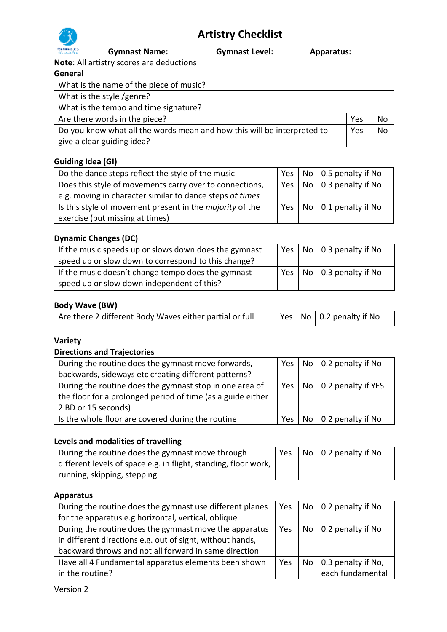

 **Gymnast Name: Gymnast Level: Apparatus:** 

**Note**: All artistry scores are deductions

# **General**

| What is the name of the piece of music?                                 |     |    |
|-------------------------------------------------------------------------|-----|----|
| What is the style /genre?                                               |     |    |
| What is the tempo and time signature?                                   |     |    |
| Are there words in the piece?                                           | Yes | No |
| Do you know what all the words mean and how this will be interpreted to | Yes | Nο |
| give a clear guiding idea?                                              |     |    |

# **Guiding Idea (GI)**

| Do the dance steps reflect the style of the music               |  | Yes   No   0.5 penalty if No        |
|-----------------------------------------------------------------|--|-------------------------------------|
| Does this style of movements carry over to connections,         |  | $\mid$ Yes   No   0.3 penalty if No |
| e.g. moving in character similar to dance steps at times        |  |                                     |
| Is this style of movement present in the <i>majority</i> of the |  | Yes   No   0.1 penalty if No        |
| exercise (but missing at times)                                 |  |                                     |

## **Dynamic Changes (DC)**

| If the music speeds up or slows down does the gymnast | Yes I    | No   0.3 penalty if No |
|-------------------------------------------------------|----------|------------------------|
| speed up or slow down to correspond to this change?   |          |                        |
| If the music doesn't change tempo does the gymnast    | $Yes1$ . | No   0.3 penalty if No |
| speed up or slow down independent of this?            |          |                        |

## **Body Wave (BW)**

| Are there 2 different Body Waves either partial or full |  | $\vert$ Yes $\vert$ No $\vert$ 0.2 penalty if No |
|---------------------------------------------------------|--|--------------------------------------------------|
|                                                         |  |                                                  |

# **Variety**

#### **Directions and Trajectories**

| During the routine does the gymnast move forwards,          |            | Yes   No   0.2 penalty if No |
|-------------------------------------------------------------|------------|------------------------------|
| backwards, sideways etc creating different patterns?        |            |                              |
| During the routine does the gymnast stop in one area of     | Yes I      | No   0.2 penalty if YES      |
| the floor for a prolonged period of time (as a guide either |            |                              |
| 2 BD or 15 seconds)                                         |            |                              |
| Is the whole floor are covered during the routine           | <b>Yes</b> | No   0.2 penalty if No       |

#### **Levels and modalities of travelling**

| During the routine does the gymnast move through                | Yes | No   0.2 penalty if No |
|-----------------------------------------------------------------|-----|------------------------|
| different levels of space e.g. in flight, standing, floor work, |     |                        |
| running, skipping, stepping                                     |     |                        |

## **Apparatus**

| During the routine does the gymnast use different planes  | Yes |                 | No   0.2 penalty if No |
|-----------------------------------------------------------|-----|-----------------|------------------------|
| for the apparatus e.g horizontal, vertical, oblique       |     |                 |                        |
| During the routine does the gymnast move the apparatus    | Yes | No <sub>1</sub> | 0.2 penalty if No      |
| in different directions e.g. out of sight, without hands, |     |                 |                        |
| backward throws and not all forward in same direction     |     |                 |                        |
| Have all 4 Fundamental apparatus elements been shown      | Yes | No              | 0.3 penalty if No,     |
| in the routine?                                           |     |                 | each fundamental       |